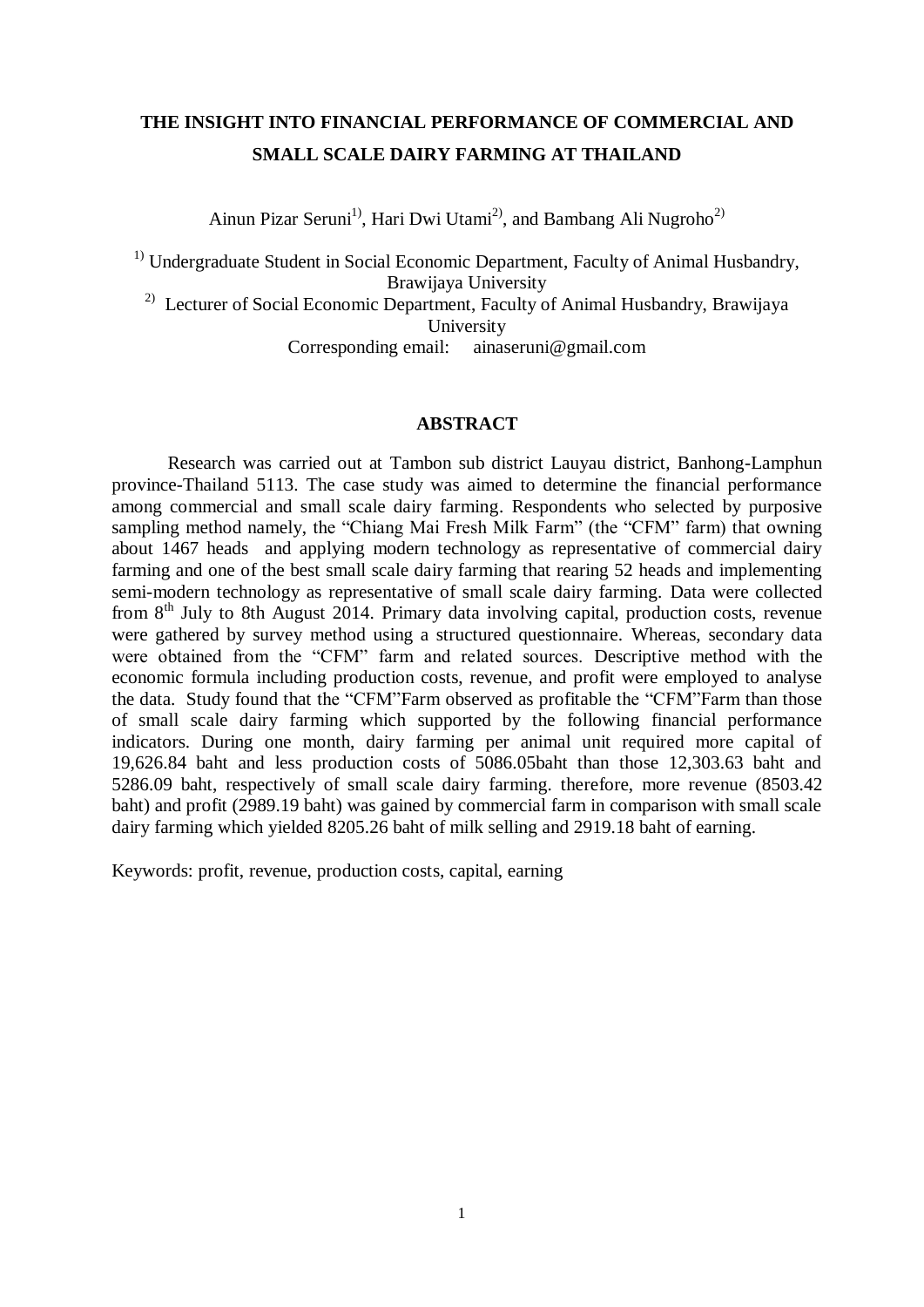# **THE INSIGHT INTO FINANCIAL PERFORMANCE OF COMMERCIAL AND SMALL SCALE DAIRY FARMING AT THAILAND**

Ainun Pizar Seruni<sup>1)</sup>, Hari Dwi Utami<sup>2)</sup>, and Bambang Ali Nugroho<sup>2)</sup>

<sup>1)</sup> Undergraduate Student in Social Economic Department, Faculty of Animal Husbandry, Brawijaya University

<sup>2)</sup> Lecturer of Social Economic Department, Faculty of Animal Husbandry, Brawijaya University

Corresponding email: ainaseruni@gmail.com

## **ABSTRACT**

Research was carried out at Tambon sub district Lauyau district, Banhong-Lamphun province-Thailand 5113. The case study was aimed to determine the financial performance among commercial and small scale dairy farming. Respondents who selected by purposive sampling method namely, the "Chiang Mai Fresh Milk Farm" (the "CFM" farm) that owning about 1467 heads and applying modern technology as representative of commercial dairy farming and one of the best small scale dairy farming that rearing 52 heads and implementing semi-modern technology as representative of small scale dairy farming. Data were collected from  $8<sup>th</sup>$  July to 8th August 2014. Primary data involving capital, production costs, revenue were gathered by survey method using a structured questionnaire. Whereas, secondary data were obtained from the "CFM" farm and related sources. Descriptive method with the economic formula including production costs, revenue, and profit were employed to analyse the data. Study found that the "CFM"Farm observed as profitable the "CFM"Farm than those of small scale dairy farming which supported by the following financial performance indicators. During one month, dairy farming per animal unit required more capital of 19,626.84 baht and less production costs of 5086.05baht than those 12,303.63 baht and 5286.09 baht, respectively of small scale dairy farming. therefore, more revenue (8503.42 baht) and profit (2989.19 baht) was gained by commercial farm in comparison with small scale dairy farming which yielded 8205.26 baht of milk selling and 2919.18 baht of earning.

Keywords: profit, revenue, production costs, capital, earning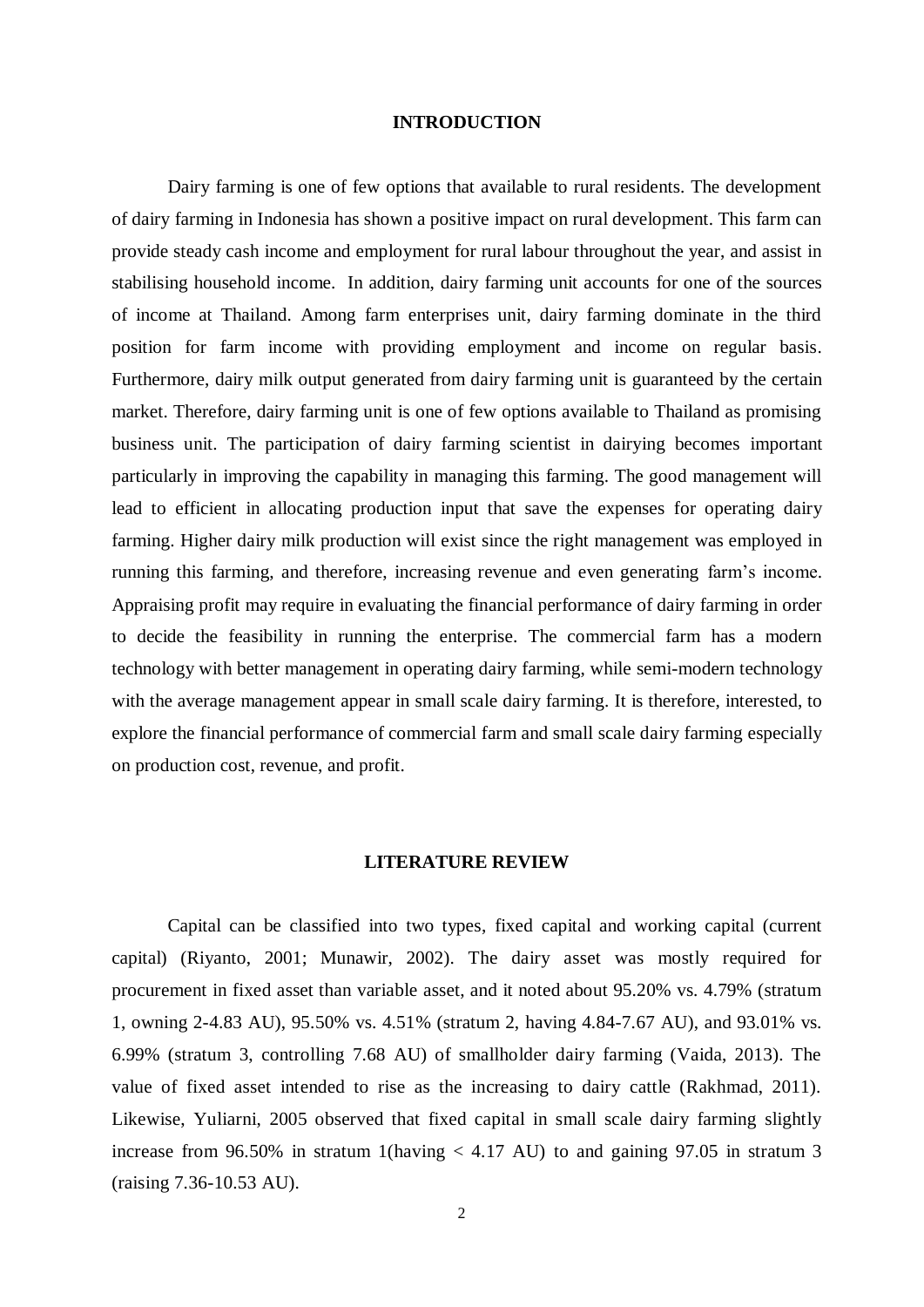#### **INTRODUCTION**

Dairy farming is one of few options that available to rural residents. The development of dairy farming in Indonesia has shown a positive impact on rural development. This farm can provide steady cash income and employment for rural labour throughout the year, and assist in stabilising household income. In addition, dairy farming unit accounts for one of the sources of income at Thailand. Among farm enterprises unit, dairy farming dominate in the third position for farm income with providing employment and income on regular basis. Furthermore, dairy milk output generated from dairy farming unit is guaranteed by the certain market. Therefore, dairy farming unit is one of few options available to Thailand as promising business unit. The participation of dairy farming scientist in dairying becomes important particularly in improving the capability in managing this farming. The good management will lead to efficient in allocating production input that save the expenses for operating dairy farming. Higher dairy milk production will exist since the right management was employed in running this farming, and therefore, increasing revenue and even generating farm's income. Appraising profit may require in evaluating the financial performance of dairy farming in order to decide the feasibility in running the enterprise. The commercial farm has a modern technology with better management in operating dairy farming, while semi-modern technology with the average management appear in small scale dairy farming. It is therefore, interested, to explore the financial performance of commercial farm and small scale dairy farming especially on production cost, revenue, and profit.

### **LITERATURE REVIEW**

Capital can be classified into two types, fixed capital and working capital (current capital) (Riyanto, 2001; Munawir, 2002). The dairy asset was mostly required for procurement in fixed asset than variable asset, and it noted about 95.20% vs. 4.79% (stratum 1, owning 2-4.83 AU), 95.50% vs. 4.51% (stratum 2, having 4.84-7.67 AU), and 93.01% vs. 6.99% (stratum 3, controlling 7.68 AU) of smallholder dairy farming (Vaida, 2013). The value of fixed asset intended to rise as the increasing to dairy cattle (Rakhmad, 2011). Likewise, Yuliarni, 2005 observed that fixed capital in small scale dairy farming slightly increase from 96.50% in stratum 1(having  $< 4.17$  AU) to and gaining 97.05 in stratum 3 (raising 7.36-10.53 AU).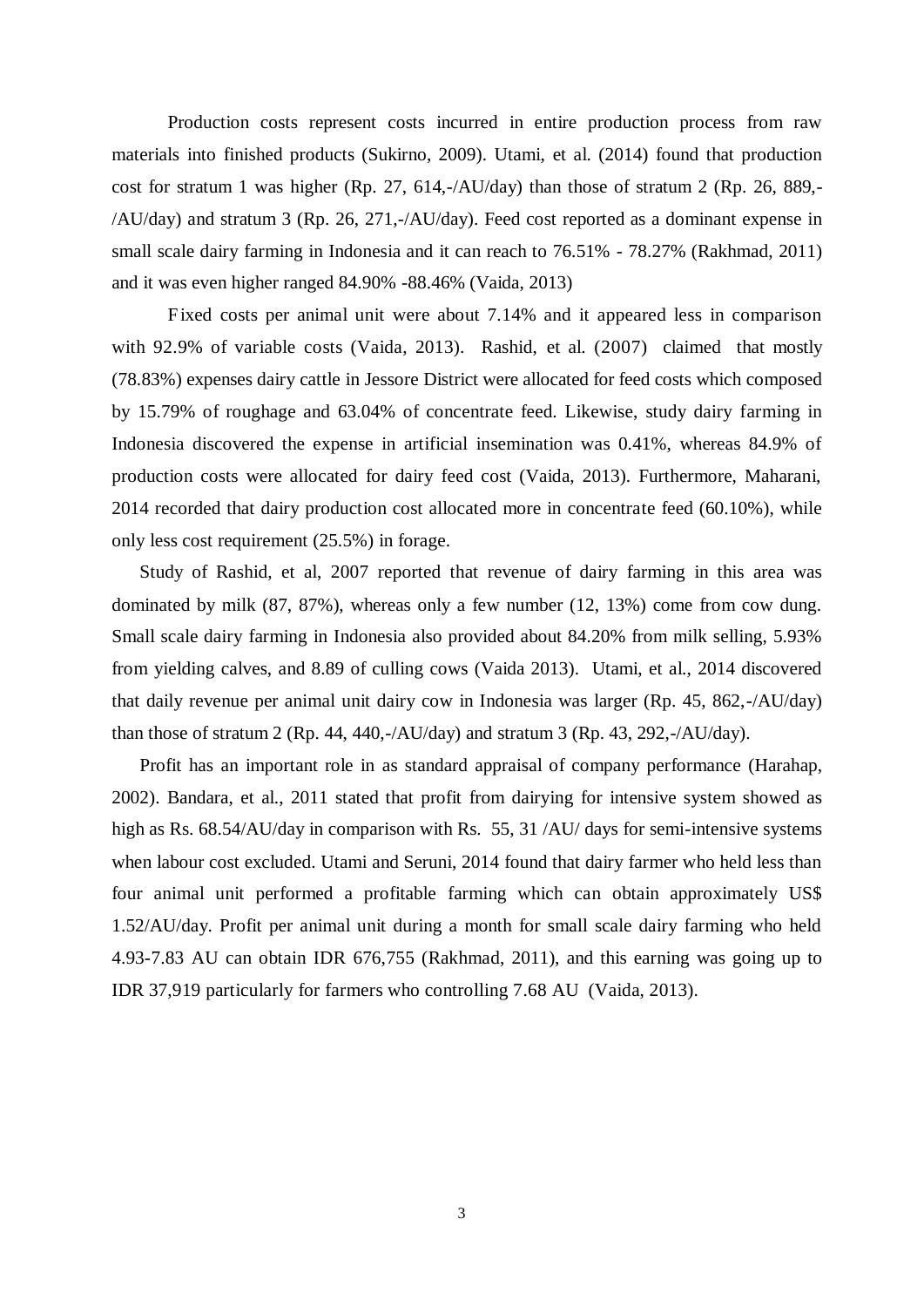Production costs represent costs incurred in entire production process from raw materials into finished products (Sukirno, 2009). Utami, et al. (2014) found that production cost for stratum 1 was higher (Rp. 27, 614,-/AU/day) than those of stratum 2 (Rp. 26, 889,- /AU/day) and stratum 3 (Rp. 26, 271,-/AU/day). Feed cost reported as a dominant expense in small scale dairy farming in Indonesia and it can reach to 76.51% - 78.27% (Rakhmad, 2011) and it was even higher ranged 84.90% -88.46% (Vaida, 2013)

Fixed costs per animal unit were about 7.14% and it appeared less in comparison with 92.9% of variable costs (Vaida, 2013). Rashid, et al. (2007) claimed that mostly (78.83%) expenses dairy cattle in Jessore District were allocated for feed costs which composed by 15.79% of roughage and 63.04% of concentrate feed. Likewise, study dairy farming in Indonesia discovered the expense in artificial insemination was 0.41%, whereas 84.9% of production costs were allocated for dairy feed cost (Vaida, 2013). Furthermore, Maharani, 2014 recorded that dairy production cost allocated more in concentrate feed (60.10%), while only less cost requirement (25.5%) in forage.

Study of Rashid, et al, 2007 reported that revenue of dairy farming in this area was dominated by milk (87, 87%), whereas only a few number (12, 13%) come from cow dung. Small scale dairy farming in Indonesia also provided about 84.20% from milk selling, 5.93% from yielding calves, and 8.89 of culling cows (Vaida 2013). Utami, et al., 2014 discovered that daily revenue per animal unit dairy cow in Indonesia was larger (Rp. 45, 862,-/AU/day) than those of stratum 2 (Rp. 44, 440,-/AU/day) and stratum 3 (Rp. 43, 292,-/AU/day).

Profit has an important role in as standard appraisal of company performance (Harahap, 2002). Bandara, et al., 2011 stated that profit from dairying for intensive system showed as high as Rs. 68.54/AU/day in comparison with Rs. 55, 31 /AU/ days for semi-intensive systems when labour cost excluded. Utami and Seruni, 2014 found that dairy farmer who held less than four animal unit performed a profitable farming which can obtain approximately US\$ 1.52/AU/day. Profit per animal unit during a month for small scale dairy farming who held 4.93-7.83 AU can obtain IDR 676,755 (Rakhmad, 2011), and this earning was going up to IDR 37,919 particularly for farmers who controlling 7.68 AU (Vaida, 2013).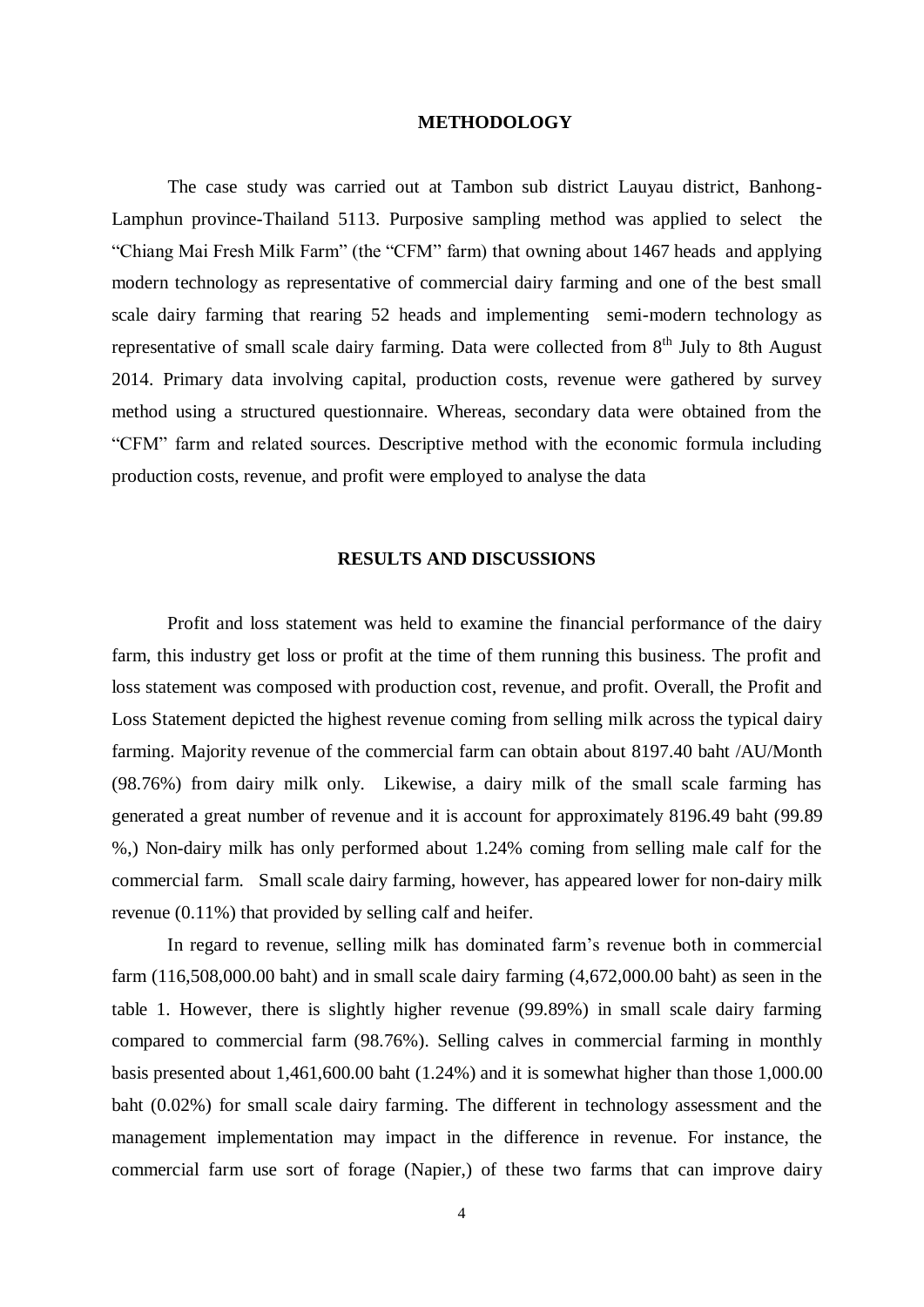#### **METHODOLOGY**

The case study was carried out at Tambon sub district Lauyau district, Banhong-Lamphun province-Thailand 5113. Purposive sampling method was applied to select the "Chiang Mai Fresh Milk Farm" (the "CFM" farm) that owning about 1467 heads and applying modern technology as representative of commercial dairy farming and one of the best small scale dairy farming that rearing 52 heads and implementing semi-modern technology as representative of small scale dairy farming. Data were collected from  $8<sup>th</sup>$  July to 8th August 2014. Primary data involving capital, production costs, revenue were gathered by survey method using a structured questionnaire. Whereas, secondary data were obtained from the "CFM" farm and related sources. Descriptive method with the economic formula including production costs, revenue, and profit were employed to analyse the data

## **RESULTS AND DISCUSSIONS**

 Profit and loss statement was held to examine the financial performance of the dairy farm, this industry get loss or profit at the time of them running this business. The profit and loss statement was composed with production cost, revenue, and profit. Overall, the Profit and Loss Statement depicted the highest revenue coming from selling milk across the typical dairy farming. Majority revenue of the commercial farm can obtain about 8197.40 baht /AU/Month (98.76%) from dairy milk only. Likewise, a dairy milk of the small scale farming has generated a great number of revenue and it is account for approximately 8196.49 baht (99.89 %,) Non-dairy milk has only performed about 1.24% coming from selling male calf for the commercial farm. Small scale dairy farming, however, has appeared lower for non-dairy milk revenue (0.11%) that provided by selling calf and heifer.

 In regard to revenue, selling milk has dominated farm's revenue both in commercial farm (116,508,000.00 baht) and in small scale dairy farming (4,672,000.00 baht) as seen in the table 1. However, there is slightly higher revenue (99.89%) in small scale dairy farming compared to commercial farm (98.76%). Selling calves in commercial farming in monthly basis presented about 1,461,600.00 baht (1.24%) and it is somewhat higher than those 1,000.00 baht (0.02%) for small scale dairy farming. The different in technology assessment and the management implementation may impact in the difference in revenue. For instance, the commercial farm use sort of forage (Napier,) of these two farms that can improve dairy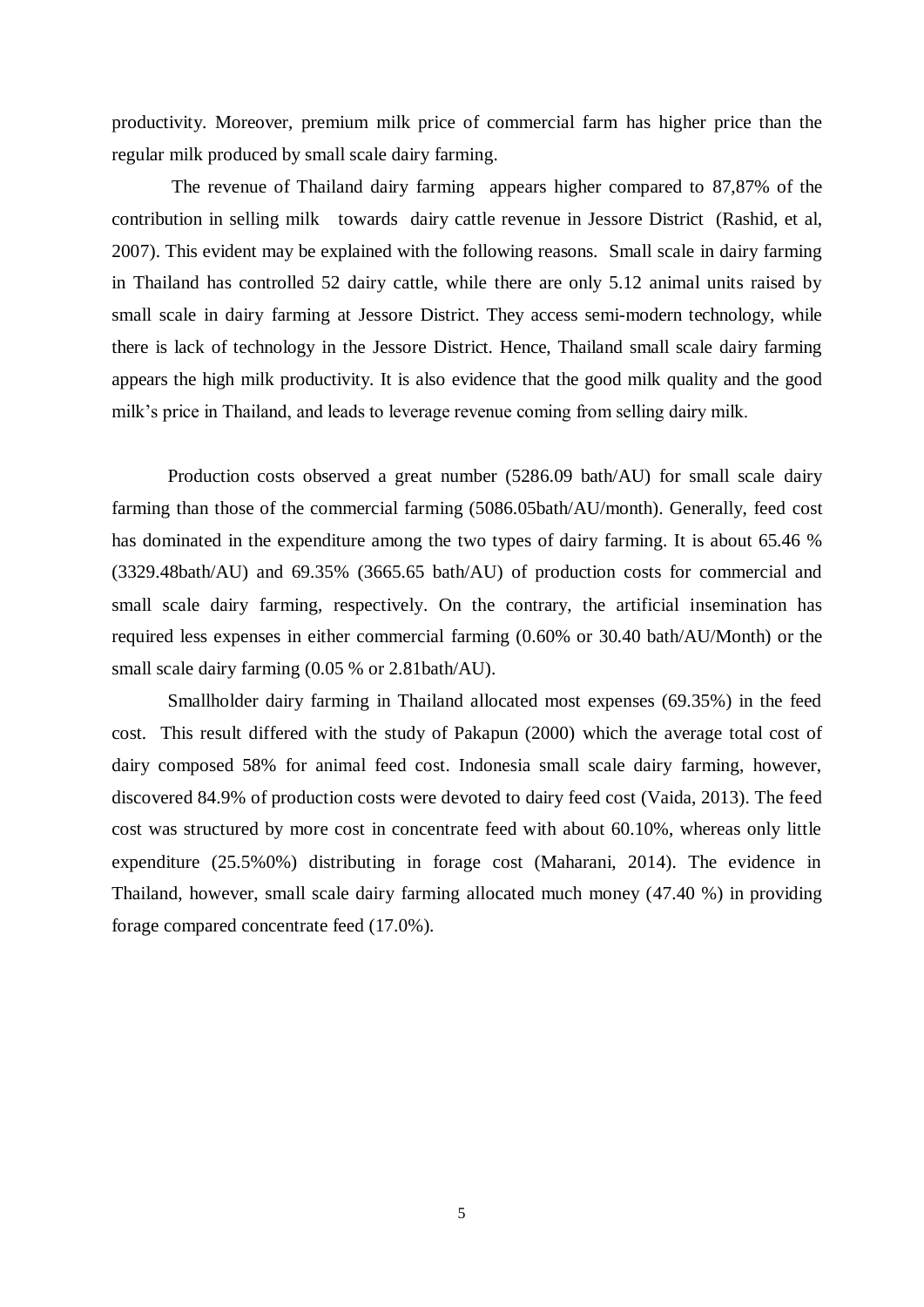productivity. Moreover, premium milk price of commercial farm has higher price than the regular milk produced by small scale dairy farming.

The revenue of Thailand dairy farming appears higher compared to 87,87% of the contribution in selling milk towards dairy cattle revenue in Jessore District (Rashid, et al, 2007). This evident may be explained with the following reasons. Small scale in dairy farming in Thailand has controlled 52 dairy cattle, while there are only 5.12 animal units raised by small scale in dairy farming at Jessore District. They access semi-modern technology, while there is lack of technology in the Jessore District. Hence, Thailand small scale dairy farming appears the high milk productivity. It is also evidence that the good milk quality and the good milk's price in Thailand, and leads to leverage revenue coming from selling dairy milk.

Production costs observed a great number (5286.09 bath/AU) for small scale dairy farming than those of the commercial farming (5086.05bath/AU/month). Generally, feed cost has dominated in the expenditure among the two types of dairy farming. It is about 65.46 % (3329.48bath/AU) and 69.35% (3665.65 bath/AU) of production costs for commercial and small scale dairy farming, respectively. On the contrary, the artificial insemination has required less expenses in either commercial farming (0.60% or 30.40 bath/AU/Month) or the small scale dairy farming (0.05 % or 2.81bath/AU).

Smallholder dairy farming in Thailand allocated most expenses (69.35%) in the feed cost. This result differed with the study of Pakapun (2000) which the average total cost of dairy composed 58% for animal feed cost. Indonesia small scale dairy farming, however, discovered 84.9% of production costs were devoted to dairy feed cost (Vaida, 2013). The feed cost was structured by more cost in concentrate feed with about 60.10%, whereas only little expenditure (25.5%0%) distributing in forage cost (Maharani, 2014). The evidence in Thailand, however, small scale dairy farming allocated much money (47.40 %) in providing forage compared concentrate feed (17.0%).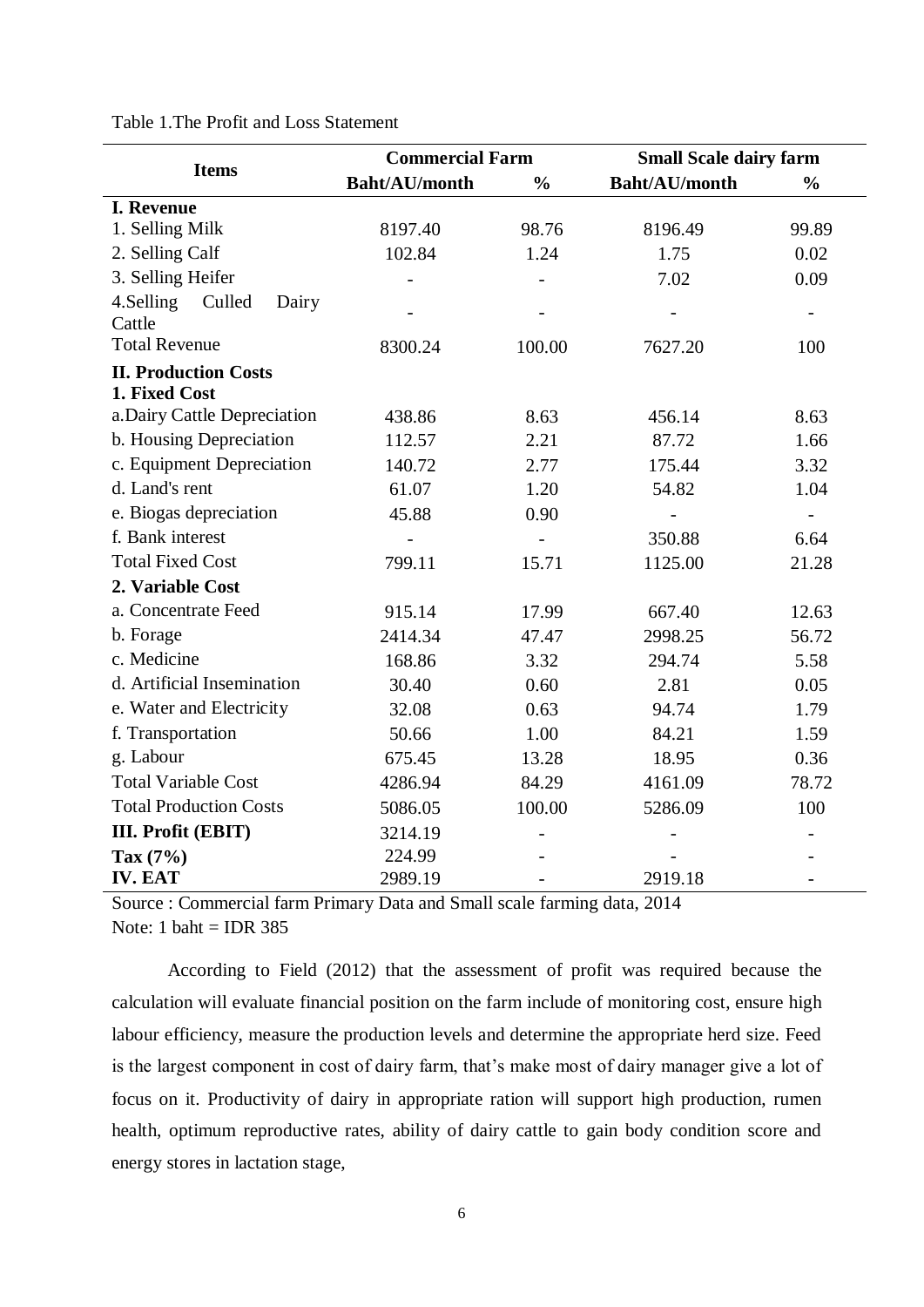| <b>Items</b>                  | <b>Commercial Farm</b> |                | <b>Small Scale dairy farm</b> |               |
|-------------------------------|------------------------|----------------|-------------------------------|---------------|
|                               | <b>Baht/AU/month</b>   | $\frac{0}{0}$  | <b>Baht/AU/month</b>          | $\frac{0}{0}$ |
| <b>I. Revenue</b>             |                        |                |                               |               |
| 1. Selling Milk               | 8197.40                | 98.76          | 8196.49                       | 99.89         |
| 2. Selling Calf               | 102.84                 | 1.24           | 1.75                          | 0.02          |
| 3. Selling Heifer             |                        |                | 7.02                          | 0.09          |
| 4.Selling<br>Culled<br>Dairy  |                        |                |                               |               |
| Cattle                        |                        |                |                               |               |
| <b>Total Revenue</b>          | 8300.24                | 100.00         | 7627.20                       | 100           |
| <b>II. Production Costs</b>   |                        |                |                               |               |
| 1. Fixed Cost                 |                        |                |                               |               |
| a. Dairy Cattle Depreciation  | 438.86                 | 8.63           | 456.14                        | 8.63          |
| b. Housing Depreciation       | 112.57                 | 2.21           | 87.72                         | 1.66          |
| c. Equipment Depreciation     | 140.72                 | 2.77           | 175.44                        | 3.32          |
| d. Land's rent                | 61.07                  | 1.20           | 54.82                         | 1.04          |
| e. Biogas depreciation        | 45.88                  | 0.90           |                               |               |
| f. Bank interest              |                        | $\overline{a}$ | 350.88                        | 6.64          |
| <b>Total Fixed Cost</b>       | 799.11                 | 15.71          | 1125.00                       | 21.28         |
| 2. Variable Cost              |                        |                |                               |               |
| a. Concentrate Feed           | 915.14                 | 17.99          | 667.40                        | 12.63         |
| b. Forage                     | 2414.34                | 47.47          | 2998.25                       | 56.72         |
| c. Medicine                   | 168.86                 | 3.32           | 294.74                        | 5.58          |
| d. Artificial Insemination    | 30.40                  | 0.60           | 2.81                          | 0.05          |
| e. Water and Electricity      | 32.08                  | 0.63           | 94.74                         | 1.79          |
| f. Transportation             | 50.66                  | 1.00           | 84.21                         | 1.59          |
| g. Labour                     | 675.45                 | 13.28          | 18.95                         | 0.36          |
| <b>Total Variable Cost</b>    | 4286.94                | 84.29          | 4161.09                       | 78.72         |
| <b>Total Production Costs</b> | 5086.05                | 100.00         | 5286.09                       | 100           |
| III. Profit (EBIT)            | 3214.19                |                |                               |               |
| Tax $(7%)$                    | 224.99                 |                |                               |               |
| <b>IV. EAT</b>                | 2989.19                |                | 2919.18                       |               |

Table 1.The Profit and Loss Statement

Source : Commercial farm Primary Data and Small scale farming data, 2014 Note: 1 baht = IDR 385

According to Field (2012) that the assessment of profit was required because the calculation will evaluate financial position on the farm include of monitoring cost, ensure high labour efficiency, measure the production levels and determine the appropriate herd size. Feed is the largest component in cost of dairy farm, that's make most of dairy manager give a lot of focus on it. Productivity of dairy in appropriate ration will support high production, rumen health, optimum reproductive rates, ability of dairy cattle to gain body condition score and energy stores in lactation stage,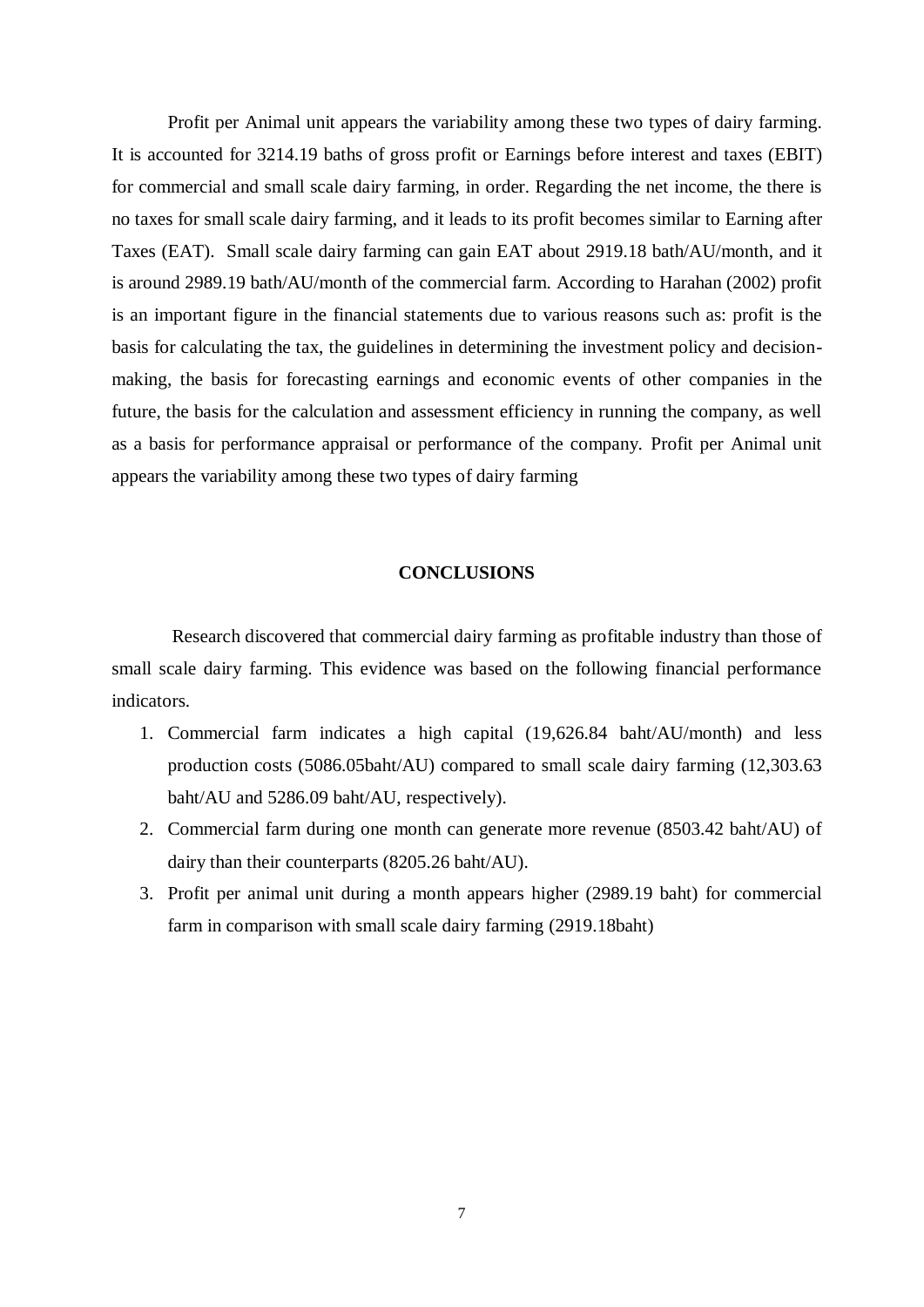Profit per Animal unit appears the variability among these two types of dairy farming. It is accounted for 3214.19 baths of gross profit or Earnings before interest and taxes (EBIT) for commercial and small scale dairy farming, in order. Regarding the net income, the there is no taxes for small scale dairy farming, and it leads to its profit becomes similar to Earning after Taxes (EAT). Small scale dairy farming can gain EAT about 2919.18 bath/AU/month, and it is around 2989.19 bath/AU/month of the commercial farm. According to Harahan (2002) profit is an important figure in the financial statements due to various reasons such as: profit is the basis for calculating the tax, the guidelines in determining the investment policy and decisionmaking, the basis for forecasting earnings and economic events of other companies in the future, the basis for the calculation and assessment efficiency in running the company, as well as a basis for performance appraisal or performance of the company. Profit per Animal unit appears the variability among these two types of dairy farming

## **CONCLUSIONS**

Research discovered that commercial dairy farming as profitable industry than those of small scale dairy farming. This evidence was based on the following financial performance indicators.

- 1. Commercial farm indicates a high capital (19,626.84 baht/AU/month) and less production costs (5086.05baht/AU) compared to small scale dairy farming (12,303.63 baht/AU and 5286.09 baht/AU, respectively).
- 2. Commercial farm during one month can generate more revenue (8503.42 baht/AU) of dairy than their counterparts (8205.26 baht/AU).
- 3. Profit per animal unit during a month appears higher (2989.19 baht) for commercial farm in comparison with small scale dairy farming (2919.18baht)